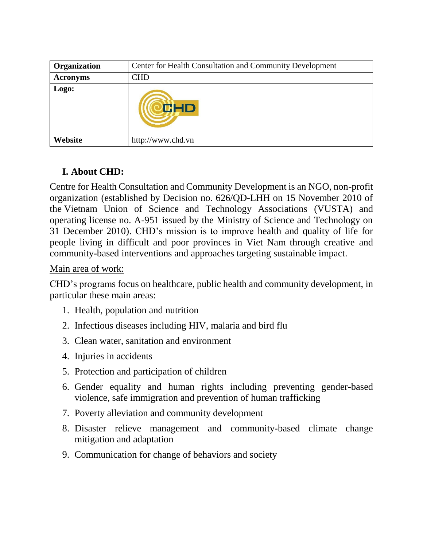| Organization    | Center for Health Consultation and Community Development |
|-----------------|----------------------------------------------------------|
| <b>Acronyms</b> | <b>CHD</b>                                               |
| Logo:           | CHD                                                      |
| Website         | http://www.chd.vn                                        |

## **I. About CHD:**

Centre for Health Consultation and Community Development is an NGO, non-profit organization (established by Decision no. 626/QD-LHH on 15 November 2010 of the Vietnam Union of Science and Technology Associations (VUSTA) and operating license no. A-951 issued by the Ministry of Science and Technology on 31 December 2010). CHD's mission is to improve health and quality of life for people living in difficult and poor provinces in Viet Nam through creative and community-based interventions and approaches targeting sustainable impact.

## Main area of work:

CHD's programs focus on healthcare, public health and community development, in particular these main areas:

- 1. Health, population and nutrition
- 2. Infectious diseases including HIV, malaria and bird flu
- 3. Clean water, sanitation and environment
- 4. Injuries in accidents
- 5. Protection and participation of children
- 6. Gender equality and human rights including preventing gender-based violence, safe immigration and prevention of human trafficking
- 7. Poverty alleviation and community development
- 8. Disaster relieve management and community-based climate change mitigation and adaptation
- 9. Communication for change of behaviors and society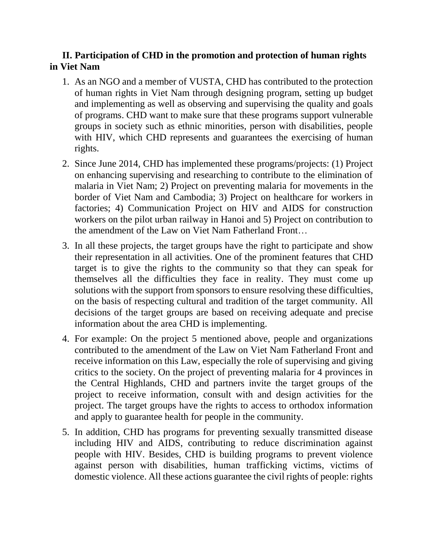## **II. Participation of CHD in the promotion and protection of human rights in Viet Nam**

- 1. As an NGO and a member of VUSTA, CHD has contributed to the protection of human rights in Viet Nam through designing program, setting up budget and implementing as well as observing and supervising the quality and goals of programs. CHD want to make sure that these programs support vulnerable groups in society such as ethnic minorities, person with disabilities, people with HIV, which CHD represents and guarantees the exercising of human rights.
- 2. Since June 2014, CHD has implemented these programs/projects: (1) Project on enhancing supervising and researching to contribute to the elimination of malaria in Viet Nam; 2) Project on preventing malaria for movements in the border of Viet Nam and Cambodia; 3) Project on healthcare for workers in factories; 4) Communication Project on HIV and AIDS for construction workers on the pilot urban railway in Hanoi and 5) Project on contribution to the amendment of the Law on Viet Nam Fatherland Front…
- 3. In all these projects, the target groups have the right to participate and show their representation in all activities. One of the prominent features that CHD target is to give the rights to the community so that they can speak for themselves all the difficulties they face in reality. They must come up solutions with the support from sponsors to ensure resolving these difficulties, on the basis of respecting cultural and tradition of the target community. All decisions of the target groups are based on receiving adequate and precise information about the area CHD is implementing.
- 4. For example: On the project 5 mentioned above, people and organizations contributed to the amendment of the Law on Viet Nam Fatherland Front and receive information on this Law, especially the role of supervising and giving critics to the society. On the project of preventing malaria for 4 provinces in the Central Highlands, CHD and partners invite the target groups of the project to receive information, consult with and design activities for the project. The target groups have the rights to access to orthodox information and apply to guarantee health for people in the community.
- 5. In addition, CHD has programs for preventing sexually transmitted disease including HIV and AIDS, contributing to reduce discrimination against people with HIV. Besides, CHD is building programs to prevent violence against person with disabilities, human trafficking victims, victims of domestic violence. All these actions guarantee the civil rights of people: rights